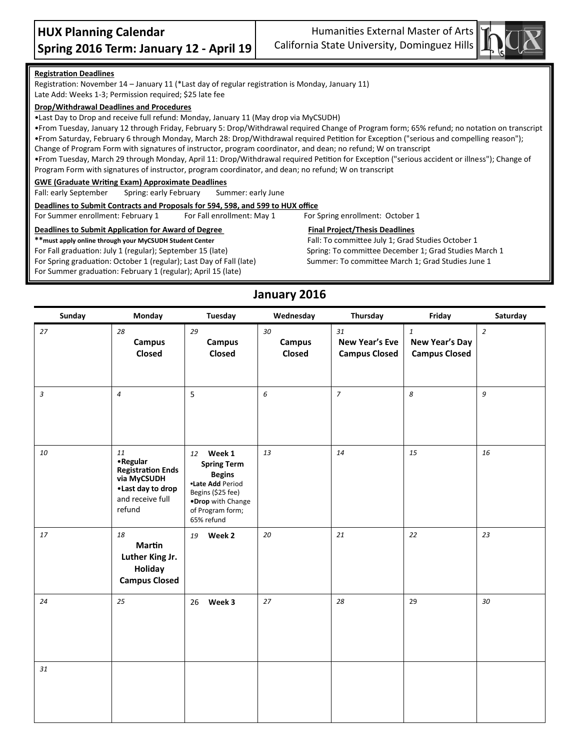Humanities External Master of Arts California State University, Dominguez Hills



#### **Registration Deadlines**

Registration: November 14 – January 11 (\*Last day of regular registration is Monday, January 11) Late Add: Weeks 1-3; Permission required; \$25 late fee

#### **Drop/Withdrawal Deadlines and Procedures**

•Last Day to Drop and receive full refund: Monday, January 11 (May drop via MyCSUDH)

•From Tuesday, January 12 through Friday, February 5: Drop/Withdrawal required Change of Program form; 65% refund; no notation on transcript •From Saturday, February 6 through Monday, March 28: Drop/Withdrawal required Petition for Exception ("serious and compelling reason"); Change of Program Form with signatures of instructor, program coordinator, and dean; no refund; W on transcript •From Tuesday, March 29 through Monday, April 11: Drop/Withdrawal required Petition for Exception ("serious accident or illness"); Change of

Program Form with signatures of instructor, program coordinator, and dean; no refund; W on transcript

#### **GWE (Graduate Writing Exam) Approximate Deadlines**

Fall: early September Spring: early February Summer: early June

**Deadlines to Submit Contracts and Proposals for 594, 598, and 599 to HUX office**

For Summer enrollment: February 1 For Fall enrollment: May 1 For Spring enrollment: October 1

#### **Deadlines to Submit Application for Award of Degree Final Project/Thesis Deadlines**

**\*\*must apply online through your MyCSUDH Student Center** Fall: To committee July 1; Grad Studies October 1

For Spring graduation: October 1 (regular); Last Day of Fall (late) Summer: To committee March 1; Grad Studies June 1

For Summer graduation: February 1 (regular); April 15 (late)

For Fall graduation: July 1 (regular); September 15 (late) Spring: To committee December 1; Grad Studies March 1

#### **January 2016**

| Sunday         | <b>Monday</b>                                                                                                  | <b>Tuesday</b>                                                                                                                                   | Wednesday                     | Thursday                                            | Friday                                                 | Saturday         |
|----------------|----------------------------------------------------------------------------------------------------------------|--------------------------------------------------------------------------------------------------------------------------------------------------|-------------------------------|-----------------------------------------------------|--------------------------------------------------------|------------------|
| 27             | 28<br><b>Campus</b><br>Closed                                                                                  | 29<br><b>Campus</b><br>Closed                                                                                                                    | 30<br><b>Campus</b><br>Closed | 31<br><b>New Year's Eve</b><br><b>Campus Closed</b> | $\mathbf{1}$<br>New Year's Day<br><b>Campus Closed</b> | $\overline{2}$   |
| $\mathfrak{Z}$ | $\overline{4}$                                                                                                 | 5                                                                                                                                                | $\epsilon$                    | $\overline{7}$                                      | 8                                                      | $\boldsymbol{g}$ |
| 10             | 11<br>• Regular<br><b>Registration Ends</b><br>via MyCSUDH<br>• Last day to drop<br>and receive full<br>refund | 12 Week 1<br><b>Spring Term</b><br><b>Begins</b><br>•Late Add Period<br>Begins (\$25 fee)<br>.Drop with Change<br>of Program form;<br>65% refund | 13                            | 14                                                  | 15                                                     | 16               |
| 17             | 18<br><b>Martin</b><br>Luther King Jr.<br>Holiday<br><b>Campus Closed</b>                                      | 19 Week 2                                                                                                                                        | 20                            | 21                                                  | 22                                                     | 23               |
| 24             | 25                                                                                                             | 26 Week 3                                                                                                                                        | 27                            | 28                                                  | 29                                                     | 30               |
| 31             |                                                                                                                |                                                                                                                                                  |                               |                                                     |                                                        |                  |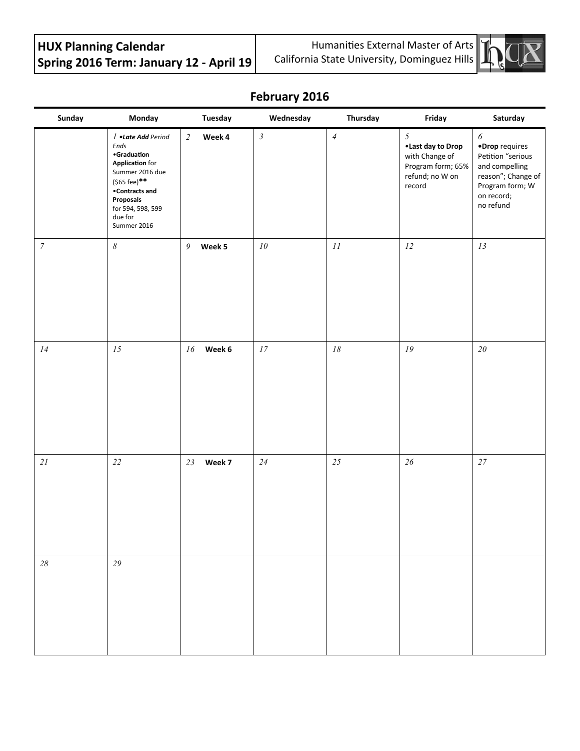# **HUX Planning Calendar Spring 2016 Term: January 12 - April 19**

Humanities External Master of Arts California State University, Dominguez Hills



## **February 2016**

| Sunday           | Monday                                                                                                                                                                               | Tuesday                  | Wednesday                  | Thursday                      | Friday                                                                                     | Saturday                                                                                                                                           |
|------------------|--------------------------------------------------------------------------------------------------------------------------------------------------------------------------------------|--------------------------|----------------------------|-------------------------------|--------------------------------------------------------------------------------------------|----------------------------------------------------------------------------------------------------------------------------------------------------|
|                  | 1 .Late Add Period<br>Ends<br>•Graduation<br><b>Application</b> for<br>Summer 2016 due<br>(\$65 fee)**<br>•Contracts and<br>Proposals<br>for 594, 598, 599<br>due for<br>Summer 2016 | $\overline{c}$<br>Week 4 | $\mathfrak{Z}$             | $\ensuremath{\mathnormal{4}}$ | 5<br>•Last day to Drop<br>with Change of<br>Program form; 65%<br>refund; no W on<br>record | $\boldsymbol{\delta}$<br>·Drop requires<br>Petition "serious<br>and compelling<br>reason"; Change of<br>Program form; W<br>on record;<br>no refund |
| $\boldsymbol{7}$ | $\boldsymbol{\delta}$                                                                                                                                                                | 9<br>Week 5              | ${\it 10}$                 | $\cal II$                     | $12\,$                                                                                     | 13                                                                                                                                                 |
| $\it 14$         | $15\,$                                                                                                                                                                               | 16<br>Week 6             | $\ensuremath{\mathit{17}}$ | $18\,$                        | ${\it 19}$                                                                                 | $2\mathit{0}$                                                                                                                                      |
| $21\,$           | $22\,$                                                                                                                                                                               | 23<br>Week 7             | $24\,$                     | 25                            | $26\,$                                                                                     | $27\,$                                                                                                                                             |
| $28\,$           | 29                                                                                                                                                                                   |                          |                            |                               |                                                                                            |                                                                                                                                                    |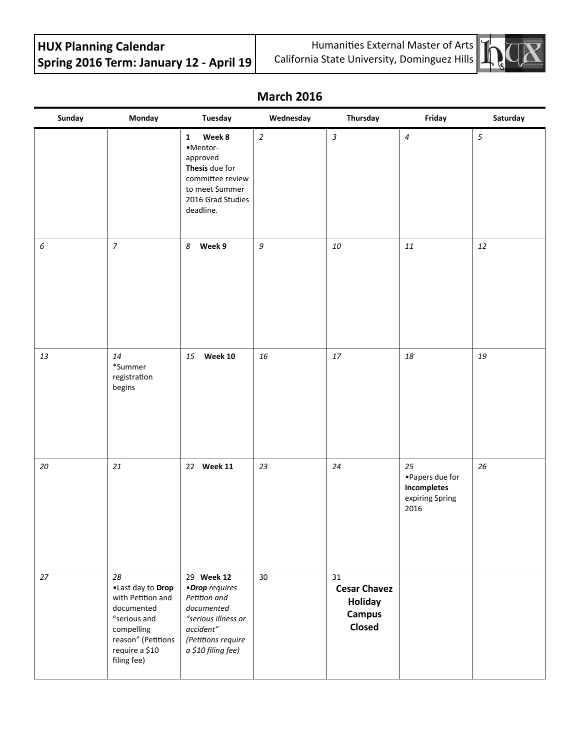# **HUX Planning Calendar Spring 2016 Term: January 12 - April 19**

Humanities External Master of Arts California State University, Dominguez Hills



### **March 2016**

| Sunday | Monday                                                                                                                                          | Tuesday                                                                                                                                    | Wednesday      | Thursday                                                               | Friday                                                          | Saturday   |
|--------|-------------------------------------------------------------------------------------------------------------------------------------------------|--------------------------------------------------------------------------------------------------------------------------------------------|----------------|------------------------------------------------------------------------|-----------------------------------------------------------------|------------|
|        |                                                                                                                                                 | Week 8<br>$\mathbf{1}$<br>•Mentor-<br>approved<br>Thesis due for<br>committee review<br>to meet Summer<br>2016 Grad Studies<br>deadline.   | $\overline{c}$ | $\overline{3}$                                                         | $\boldsymbol{4}$                                                | $\sqrt{5}$ |
| 6      | $\overline{7}$                                                                                                                                  | Week 9<br>8                                                                                                                                | 9              | 10                                                                     | $11\,$                                                          | 12         |
| 13     | 14<br>*Summer<br>registration<br>begins                                                                                                         | Week 10<br>15                                                                                                                              | 16             | $17\,$                                                                 | $18\,$                                                          | 19         |
| 20     | 21                                                                                                                                              | 22 Week 11                                                                                                                                 | 23             | 24                                                                     | 25<br>•Papers due for<br>Incompletes<br>expiring Spring<br>2016 | 26         |
| 27     | 28<br>.Last day to Drop<br>with Petition and<br>documented<br>"serious and<br>compelling<br>reason" (Petitions<br>require a \$10<br>filing fee) | 29 Week 12<br>•Drop requires<br>Petition and<br>documented<br>"serious illness or<br>accident"<br>(Petitions require<br>a \$10 filing fee) | 30             | 31<br><b>Cesar Chavez</b><br><b>Holiday</b><br><b>Campus</b><br>Closed |                                                                 |            |